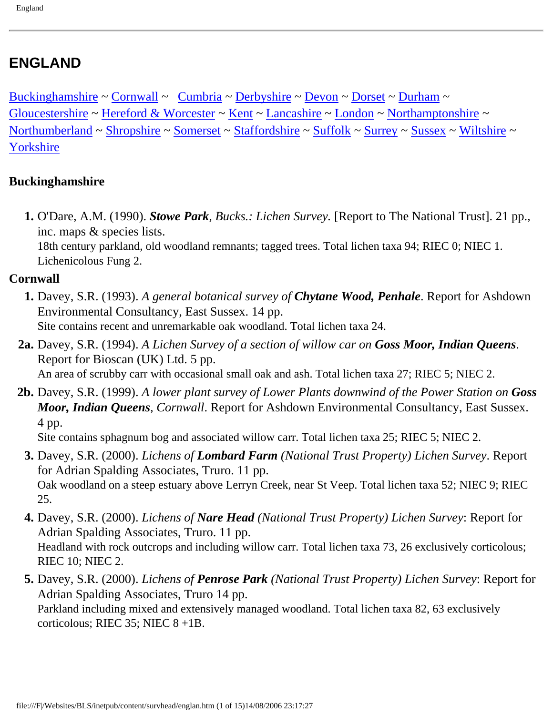# <span id="page-0-2"></span>**ENGLAND**

[Buckinghamshire](#page-0-0) ~ [Cornwall](#page-0-1) ~ [Cumbria](#page-1-0) ~ [Derbyshire](#page-2-0) ~ [Devon](#page-2-1) ~ [Dorset](#page-6-0) ~ [Durham](#page-8-0) ~ [Gloucestershire](#page-8-1) ~ [Hereford & Worcester](#page-8-2) ~ [Kent](#page-8-3) ~ [Lancashire](#page-8-4) ~ [London](#page-8-5) ~ [Northamptonshire](#page-9-0) ~ [Northumberland](#page-9-1) ~ [Shropshire](#page-10-0) ~ [Somerset](#page-10-1) ~ [Staffordshire](#page-12-0) ~ [Suffolk](#page-0-2) ~ [Surrey](#page-12-1) ~ [Sussex](#page-12-2) ~ [Wiltshire](#page-13-0) ~ [Yorkshire](#page-13-1)

#### <span id="page-0-0"></span>**Buckinghamshire**

 **1.** O'Dare, A.M. (1990). *Stowe Park, Bucks.: Lichen Survey.* [Report to The National Trust]. 21 pp., inc. maps & species lists.

18th century parkland, old woodland remnants; tagged trees. Total lichen taxa 94; RIEC 0; NIEC 1. Lichenicolous Fung 2.

#### <span id="page-0-1"></span>**Cornwall**

- **1.** Davey, S.R. (1993). *A general botanical survey of Chytane Wood, Penhale*. Report for Ashdown Environmental Consultancy, East Sussex. 14 pp. Site contains recent and unremarkable oak woodland. Total lichen taxa 24.
- **2a.** Davey, S.R. (1994). *A Lichen Survey of a section of willow car on Goss Moor, Indian Queens*. Report for Bioscan (UK) Ltd. 5 pp. An area of scrubby carr with occasional small oak and ash. Total lichen taxa 27; RIEC 5; NIEC 2.
- **2b.** Davey, S.R. (1999). *A lower plant survey of Lower Plants downwind of the Power Station on Goss Moor, Indian Queens, Cornwall*. Report for Ashdown Environmental Consultancy, East Sussex. 4 pp.

Site contains sphagnum bog and associated willow carr. Total lichen taxa 25; RIEC 5; NIEC 2.

- **3.** Davey, S.R. (2000). *Lichens of Lombard Farm (National Trust Property) Lichen Survey*. Report for Adrian Spalding Associates, Truro. 11 pp. Oak woodland on a steep estuary above Lerryn Creek, near St Veep. Total lichen taxa 52; NIEC 9; RIEC 25.
- **4.** Davey, S.R. (2000). *Lichens of Nare Head (National Trust Property) Lichen Survey*: Report for Adrian Spalding Associates, Truro. 11 pp. Headland with rock outcrops and including willow carr. Total lichen taxa 73, 26 exclusively corticolous; RIEC 10; NIEC 2.
- **5.** Davey, S.R. (2000). *Lichens of Penrose Park (National Trust Property) Lichen Survey*: Report for Adrian Spalding Associates, Truro 14 pp. Parkland including mixed and extensively managed woodland. Total lichen taxa 82, 63 exclusively corticolous; RIEC 35; NIEC 8 +1B.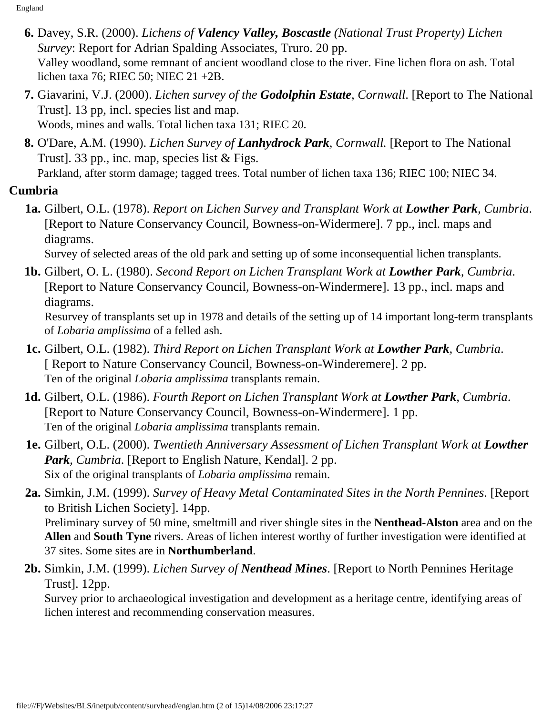- **6.** Davey, S.R. (2000). *Lichens of Valency Valley, Boscastle (National Trust Property) Lichen Survey*: Report for Adrian Spalding Associates, Truro. 20 pp. Valley woodland, some remnant of ancient woodland close to the river. Fine lichen flora on ash. Total lichen taxa 76; RIEC 50; NIEC 21 +2B.
- **7.** Giavarini, V.J. (2000). *Lichen survey of the Godolphin Estate, Cornwall*. [Report to The National Trust]. 13 pp, incl. species list and map. Woods, mines and walls. Total lichen taxa 131; RIEC 20.
- **8.** O'Dare, A.M. (1990). *Lichen Survey of Lanhydrock Park, Cornwall.* [Report to The National Trust]. 33 pp., inc. map, species list & Figs.

Parkland, after storm damage; tagged trees. Total number of lichen taxa 136; RIEC 100; NIEC 34.

## <span id="page-1-0"></span>**Cumbria**

 **1a.** Gilbert, O.L. (1978). *Report on Lichen Survey and Transplant Work at Lowther Park, Cumbria*. [Report to Nature Conservancy Council, Bowness-on-Widermere]. 7 pp., incl. maps and diagrams.

Survey of selected areas of the old park and setting up of some inconsequential lichen transplants.

**1b.** Gilbert, O. L. (1980). *Second Report on Lichen Transplant Work at Lowther Park, Cumbria*. [Report to Nature Conservancy Council, Bowness-on-Windermere]. 13 pp., incl. maps and diagrams.

Resurvey of transplants set up in 1978 and details of the setting up of 14 important long-term transplants of *Lobaria amplissima* of a felled ash.

- **1c.** Gilbert, O.L. (1982). *Third Report on Lichen Transplant Work at Lowther Park, Cumbria*. [ Report to Nature Conservancy Council, Bowness-on-Winderemere]. 2 pp. Ten of the original *Lobaria amplissima* transplants remain.
- **1d.** Gilbert, O.L. (1986). *Fourth Report on Lichen Transplant Work at Lowther Park, Cumbria*. [Report to Nature Conservancy Council, Bowness-on-Windermere]. 1 pp. Ten of the original *Lobaria amplissima* transplants remain.
- **1e.** Gilbert, O.L. (2000). *Twentieth Anniversary Assessment of Lichen Transplant Work at Lowther Park, Cumbria*. [Report to English Nature, Kendal]. 2 pp. Six of the original transplants of *Lobaria amplissima* remain.
- **2a.** Simkin, J.M. (1999). *Survey of Heavy Metal Contaminated Sites in the North Pennines*. [Report to British Lichen Society]. 14pp. Preliminary survey of 50 mine, smeltmill and river shingle sites in the **Nenthead-Alston** area and on the **Allen** and **South Tyne** rivers. Areas of lichen interest worthy of further investigation were identified at 37 sites. Some sites are in **Northumberland**.
- **2b.** Simkin, J.M. (1999). *Lichen Survey of Nenthead Mines*. [Report to North Pennines Heritage Trust]. 12pp.

Survey prior to archaeological investigation and development as a heritage centre, identifying areas of lichen interest and recommending conservation measures.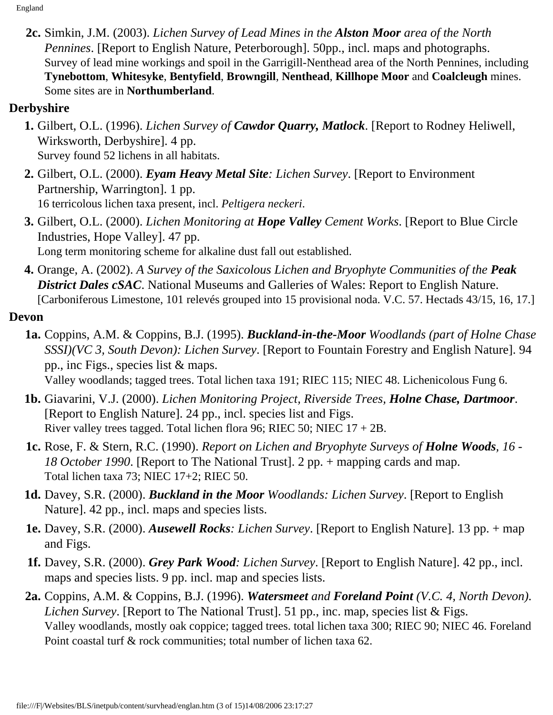**2c.** Simkin, J.M. (2003). *Lichen Survey of Lead Mines in the Alston Moor area of the North Pennines*. [Report to English Nature, Peterborough]. 50pp., incl. maps and photographs. Survey of lead mine workings and spoil in the Garrigill-Nenthead area of the North Pennines, including **Tynebottom**, **Whitesyke**, **Bentyfield**, **Browngill**, **Nenthead**, **Killhope Moor** and **Coalcleugh** mines. Some sites are in **Northumberland**.

## <span id="page-2-0"></span>**Derbyshire**

- **1.** Gilbert, O.L. (1996). *Lichen Survey of Cawdor Quarry, Matlock*. [Report to Rodney Heliwell, Wirksworth, Derbyshire]. 4 pp. Survey found 52 lichens in all habitats.
- **2.** Gilbert, O.L. (2000). *Eyam Heavy Metal Site: Lichen Survey*. [Report to Environment Partnership, Warrington]. 1 pp. 16 terricolous lichen taxa present, incl. *Peltigera neckeri*.
- **3.** Gilbert, O.L. (2000). *Lichen Monitoring at Hope Valley Cement Works*. [Report to Blue Circle Industries, Hope Valley]. 47 pp. Long term monitoring scheme for alkaline dust fall out established.
- **4.** Orange, A. (2002). *A Survey of the Saxicolous Lichen and Bryophyte Communities of the Peak*  **District Dales cSAC.** National Museums and Galleries of Wales: Report to English Nature. [Carboniferous Limestone, 101 relevés grouped into 15 provisional noda. V.C. 57. Hectads 43/15, 16, 17.]

#### <span id="page-2-1"></span>**Devon**

- **1a.** Coppins, A.M. & Coppins, B.J. (1995). *Buckland-in-the-Moor Woodlands (part of Holne Chase SSSI)(VC 3, South Devon): Lichen Survey*. [Report to Fountain Forestry and English Nature]. 94 pp., inc Figs., species list & maps. Valley woodlands; tagged trees. Total lichen taxa 191; RIEC 115; NIEC 48. Lichenicolous Fung 6.
- **1b.** Giavarini, V.J. (2000). *Lichen Monitoring Project, Riverside Trees, Holne Chase, Dartmoor*. [Report to English Nature]. 24 pp., incl. species list and Figs. River valley trees tagged. Total lichen flora 96; RIEC 50; NIEC  $17 + 2B$ .
- **1c.** Rose, F. & Stern, R.C. (1990). *Report on Lichen and Bryophyte Surveys of Holne Woods, 16 18 October 1990*. [Report to The National Trust]. 2 pp. + mapping cards and map. Total lichen taxa 73; NIEC 17+2; RIEC 50.
- **1d.** Davey, S.R. (2000). *Buckland in the Moor Woodlands: Lichen Survey*. [Report to English Nature]. 42 pp., incl. maps and species lists.
- **1e.** Davey, S.R. (2000). *Ausewell Rocks: Lichen Survey*. [Report to English Nature]. 13 pp. + map and Figs.
- **1f.** Davey, S.R. (2000). *Grey Park Wood: Lichen Survey*. [Report to English Nature]. 42 pp., incl. maps and species lists. 9 pp. incl. map and species lists.
- **2a.** Coppins, A.M. & Coppins, B.J. (1996). *Watersmeet and Foreland Point (V.C. 4, North Devon). Lichen Survey*. [Report to The National Trust]. 51 pp., inc. map, species list & Figs. Valley woodlands, mostly oak coppice; tagged trees. total lichen taxa 300; RIEC 90; NIEC 46. Foreland Point coastal turf & rock communities; total number of lichen taxa 62.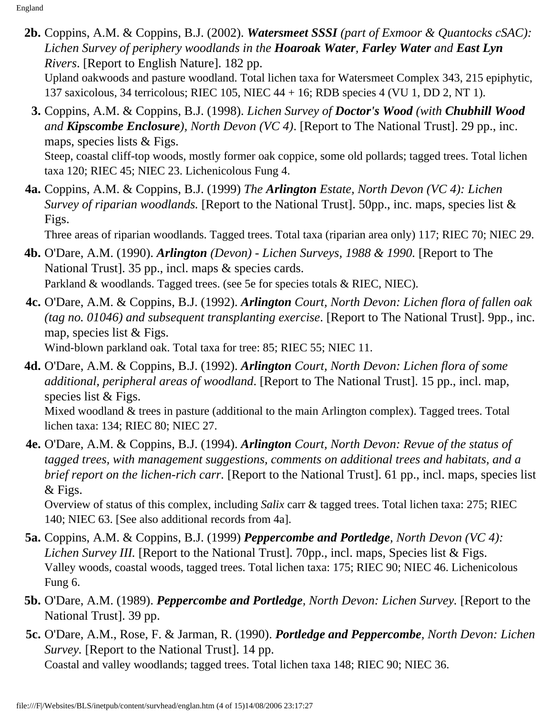**2b.** Coppins, A.M. & Coppins, B.J. (2002). *Watersmeet SSSI (part of Exmoor & Quantocks cSAC): Lichen Survey of periphery woodlands in the Hoaroak Water, Farley Water and East Lyn Rivers*. [Report to English Nature]. 182 pp.

Upland oakwoods and pasture woodland. Total lichen taxa for Watersmeet Complex 343, 215 epiphytic, 137 saxicolous, 34 terricolous; RIEC 105, NIEC 44 + 16; RDB species 4 (VU 1, DD 2, NT 1).

- **3.** Coppins, A.M. & Coppins, B.J. (1998). *Lichen Survey of Doctor's Wood (with Chubhill Wood and Kipscombe Enclosure), North Devon (VC 4)*. [Report to The National Trust]. 29 pp., inc. maps, species lists & Figs. Steep, coastal cliff-top woods, mostly former oak coppice, some old pollards; tagged trees. Total lichen taxa 120; RIEC 45; NIEC 23. Lichenicolous Fung 4.
- **4a.** Coppins, A.M. & Coppins, B.J. (1999) *The Arlington Estate, North Devon (VC 4): Lichen Survey of riparian woodlands.* [Report to the National Trust]. 50pp., inc. maps, species list & Figs.

Three areas of riparian woodlands. Tagged trees. Total taxa (riparian area only) 117; RIEC 70; NIEC 29.

- **4b.** O'Dare, A.M. (1990). *Arlington (Devon) Lichen Surveys, 1988 & 1990.* [Report to The National Trust]. 35 pp., incl. maps & species cards. Parkland & woodlands. Tagged trees. (see 5e for species totals & RIEC, NIEC).
- **4c.** O'Dare, A.M. & Coppins, B.J. (1992). *Arlington Court, North Devon: Lichen flora of fallen oak (tag no. 01046) and subsequent transplanting exercise*. [Report to The National Trust]. 9pp., inc. map, species list & Figs. Wind-blown parkland oak. Total taxa for tree: 85; RIEC 55; NIEC 11.
- **4d.** O'Dare, A.M. & Coppins, B.J. (1992). *Arlington Court, North Devon: Lichen flora of some additional, peripheral areas of woodland*. [Report to The National Trust]. 15 pp., incl. map, species list & Figs.

Mixed woodland & trees in pasture (additional to the main Arlington complex). Tagged trees. Total lichen taxa: 134; RIEC 80; NIEC 27.

**4e.** O'Dare, A.M. & Coppins, B.J. (1994). *Arlington Court, North Devon: Revue of the status of tagged trees, with management suggestions, comments on additional trees and habitats, and a brief report on the lichen-rich carr.* [Report to the National Trust]. 61 pp., incl. maps, species list & Figs.

Overview of status of this complex, including *Salix* carr & tagged trees. Total lichen taxa: 275; RIEC 140; NIEC 63. [See also additional records from 4a].

- **5a.** Coppins, A.M. & Coppins, B.J. (1999) *Peppercombe and Portledge, North Devon (VC 4): Lichen Survey III.* [Report to the National Trust]. 70pp., incl. maps, Species list & Figs. Valley woods, coastal woods, tagged trees. Total lichen taxa: 175; RIEC 90; NIEC 46. Lichenicolous Fung 6.
- **5b.** O'Dare, A.M. (1989). *Peppercombe and Portledge, North Devon: Lichen Survey.* [Report to the National Trust]. 39 pp.
- **5c.** O'Dare, A.M., Rose, F. & Jarman, R. (1990). *Portledge and Peppercombe, North Devon: Lichen Survey.* [Report to the National Trust]. 14 pp.

Coastal and valley woodlands; tagged trees. Total lichen taxa 148; RIEC 90; NIEC 36.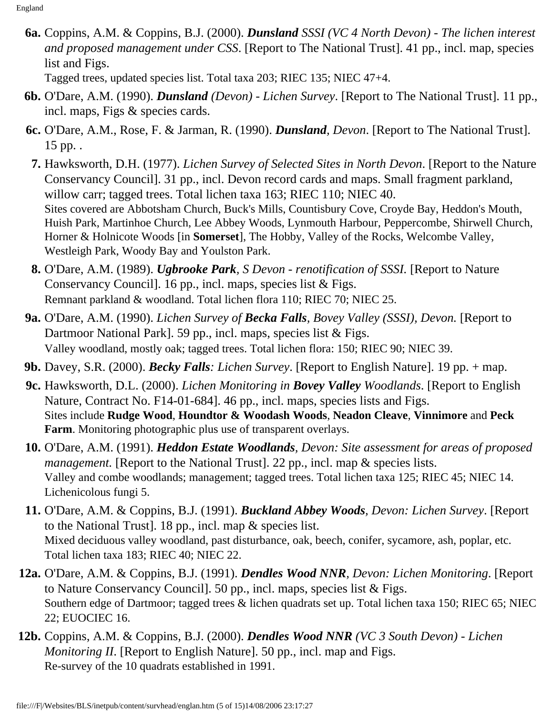**6a.** Coppins, A.M. & Coppins, B.J. (2000). *Dunsland SSSI (VC 4 North Devon) - The lichen interest and proposed management under CSS*. [Report to The National Trust]. 41 pp., incl. map, species list and Figs.

Tagged trees, updated species list. Total taxa 203; RIEC 135; NIEC 47+4.

- **6b.** O'Dare, A.M. (1990). *Dunsland (Devon) Lichen Survey*. [Report to The National Trust]. 11 pp., incl. maps, Figs & species cards.
- **6c.** O'Dare, A.M., Rose, F. & Jarman, R. (1990). *Dunsland, Devon*. [Report to The National Trust]. 15 pp. .
- **7.** Hawksworth, D.H. (1977). *Lichen Survey of Selected Sites in North Devon*. [Report to the Nature Conservancy Council]. 31 pp., incl. Devon record cards and maps. Small fragment parkland, willow carr; tagged trees. Total lichen taxa 163; RIEC 110; NIEC 40. Sites covered are Abbotsham Church, Buck's Mills, Countisbury Cove, Croyde Bay, Heddon's Mouth, Huish Park, Martinhoe Church, Lee Abbey Woods, Lynmouth Harbour, Peppercombe, Shirwell Church, Horner & Holnicote Woods [in **Somerset**], The Hobby, Valley of the Rocks, Welcombe Valley, Westleigh Park, Woody Bay and Youlston Park.
- **8.** O'Dare, A.M. (1989). *Ugbrooke Park, S Devon renotification of SSSI.* [Report to Nature Conservancy Council]. 16 pp., incl. maps, species list & Figs. Remnant parkland & woodland. Total lichen flora 110; RIEC 70; NIEC 25.
- **9a.** O'Dare, A.M. (1990). *Lichen Survey of Becka Falls, Bovey Valley (SSSI), Devon.* [Report to Dartmoor National Park]. 59 pp., incl. maps, species list & Figs. Valley woodland, mostly oak; tagged trees. Total lichen flora: 150; RIEC 90; NIEC 39.
- **9b.** Davey, S.R. (2000). *Becky Falls: Lichen Survey*. [Report to English Nature]. 19 pp. + map.
- **9c.** Hawksworth, D.L. (2000). *Lichen Monitoring in Bovey Valley Woodlands*. [Report to English Nature, Contract No. F14-01-684]. 46 pp., incl. maps, species lists and Figs. Sites include **Rudge Wood**, **Houndtor & Woodash Woods**, **Neadon Cleave**, **Vinnimore** and **Peck Farm**. Monitoring photographic plus use of transparent overlays.
- **10.** O'Dare, A.M. (1991). *Heddon Estate Woodlands, Devon: Site assessment for areas of proposed management.* [Report to the National Trust]. 22 pp., incl. map & species lists. Valley and combe woodlands; management; tagged trees. Total lichen taxa 125; RIEC 45; NIEC 14. Lichenicolous fungi 5.
- **11.** O'Dare, A.M. & Coppins, B.J. (1991). *Buckland Abbey Woods, Devon: Lichen Survey*. [Report to the National Trust]. 18 pp., incl. map & species list. Mixed deciduous valley woodland, past disturbance, oak, beech, conifer, sycamore, ash, poplar, etc. Total lichen taxa 183; RIEC 40; NIEC 22.
- **12a.** O'Dare, A.M. & Coppins, B.J. (1991). *Dendles Wood NNR, Devon: Lichen Monitoring*. [Report to Nature Conservancy Council]. 50 pp., incl. maps, species list & Figs. Southern edge of Dartmoor; tagged trees & lichen quadrats set up. Total lichen taxa 150; RIEC 65; NIEC 22; EUOCIEC 16.
- **12b.** Coppins, A.M. & Coppins, B.J. (2000). *Dendles Wood NNR (VC 3 South Devon) Lichen Monitoring II.* [Report to English Nature]. 50 pp., incl. map and Figs. Re-survey of the 10 quadrats established in 1991.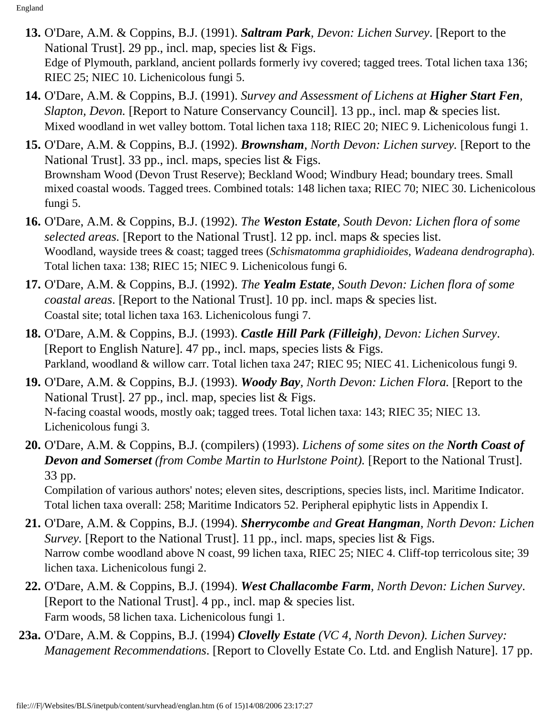- **13.** O'Dare, A.M. & Coppins, B.J. (1991). *Saltram Park, Devon: Lichen Survey*. [Report to the National Trust]. 29 pp., incl. map, species list & Figs. Edge of Plymouth, parkland, ancient pollards formerly ivy covered; tagged trees. Total lichen taxa 136; RIEC 25; NIEC 10. Lichenicolous fungi 5.
- **14.** O'Dare, A.M. & Coppins, B.J. (1991). *Survey and Assessment of Lichens at Higher Start Fen, Slapton, Devon.* [Report to Nature Conservancy Council]. 13 pp., incl. map & species list. Mixed woodland in wet valley bottom. Total lichen taxa 118; RIEC 20; NIEC 9. Lichenicolous fungi 1.
- **15.** O'Dare, A.M. & Coppins, B.J. (1992). *Brownsham, North Devon: Lichen survey.* [Report to the National Trust]. 33 pp., incl. maps, species list & Figs. Brownsham Wood (Devon Trust Reserve); Beckland Wood; Windbury Head; boundary trees. Small mixed coastal woods. Tagged trees. Combined totals: 148 lichen taxa; RIEC 70; NIEC 30. Lichenicolous fungi 5.
- **16.** O'Dare, A.M. & Coppins, B.J. (1992). *The Weston Estate, South Devon: Lichen flora of some selected areas.* [Report to the National Trust]. 12 pp. incl. maps & species list. Woodland, wayside trees & coast; tagged trees (*Schismatomma graphidioides*, *Wadeana dendrographa*). Total lichen taxa: 138; RIEC 15; NIEC 9. Lichenicolous fungi 6.
- **17.** O'Dare, A.M. & Coppins, B.J. (1992). *The Yealm Estate, South Devon: Lichen flora of some coastal areas*. [Report to the National Trust]. 10 pp. incl. maps & species list. Coastal site; total lichen taxa 163. Lichenicolous fungi 7.
- **18.** O'Dare, A.M. & Coppins, B.J. (1993). *Castle Hill Park (Filleigh), Devon: Lichen Survey*. [Report to English Nature]. 47 pp., incl. maps, species lists & Figs. Parkland, woodland & willow carr. Total lichen taxa 247; RIEC 95; NIEC 41. Lichenicolous fungi 9.
- **19.** O'Dare, A.M. & Coppins, B.J. (1993). *Woody Bay, North Devon: Lichen Flora.* [Report to the National Trust]. 27 pp., incl. map, species list & Figs. N-facing coastal woods, mostly oak; tagged trees. Total lichen taxa: 143; RIEC 35; NIEC 13. Lichenicolous fungi 3.
- **20.** O'Dare, A.M. & Coppins, B.J. (compilers) (1993). *Lichens of some sites on the North Coast of Devon and Somerset (from Combe Martin to Hurlstone Point).* [Report to the National Trust]. 33 pp.

Compilation of various authors' notes; eleven sites, descriptions, species lists, incl. Maritime Indicator. Total lichen taxa overall: 258; Maritime Indicators 52. Peripheral epiphytic lists in Appendix I.

- **21.** O'Dare, A.M. & Coppins, B.J. (1994). *Sherrycombe and Great Hangman, North Devon: Lichen Survey.* [Report to the National Trust]. 11 pp., incl. maps, species list & Figs. Narrow combe woodland above N coast, 99 lichen taxa, RIEC 25; NIEC 4. Cliff-top terricolous site; 39 lichen taxa. Lichenicolous fungi 2.
- **22.** O'Dare, A.M. & Coppins, B.J. (1994). *West Challacombe Farm, North Devon: Lichen Survey*. [Report to the National Trust]. 4 pp., incl. map & species list. Farm woods, 58 lichen taxa. Lichenicolous fungi 1.
- **23a.** O'Dare, A.M. & Coppins, B.J. (1994) *Clovelly Estate (VC 4, North Devon). Lichen Survey: Management Recommendations*. [Report to Clovelly Estate Co. Ltd. and English Nature]. 17 pp.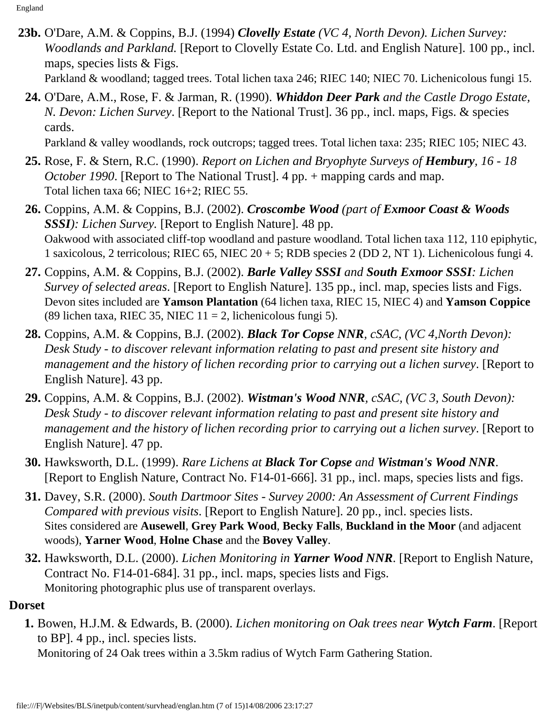**23b.** O'Dare, A.M. & Coppins, B.J. (1994) *Clovelly Estate (VC 4, North Devon). Lichen Survey: Woodlands and Parkland.* [Report to Clovelly Estate Co. Ltd. and English Nature]. 100 pp., incl. maps, species lists & Figs.

Parkland & woodland; tagged trees. Total lichen taxa 246; RIEC 140; NIEC 70. Lichenicolous fungi 15.

**24.** O'Dare, A.M., Rose, F. & Jarman, R. (1990). *Whiddon Deer Park and the Castle Drogo Estate, N. Devon: Lichen Survey*. [Report to the National Trust]. 36 pp., incl. maps, Figs. & species cards.

Parkland & valley woodlands, rock outcrops; tagged trees. Total lichen taxa: 235; RIEC 105; NIEC 43.

- **25.** Rose, F. & Stern, R.C. (1990). *Report on Lichen and Bryophyte Surveys of Hembury, 16 18 October 1990*. [Report to The National Trust]. 4 pp. + mapping cards and map. Total lichen taxa 66; NIEC 16+2; RIEC 55.
- **26.** Coppins, A.M. & Coppins, B.J. (2002). *Croscombe Wood (part of Exmoor Coast & Woods SSSI): Lichen Survey.* [Report to English Nature]. 48 pp. Oakwood with associated cliff-top woodland and pasture woodland. Total lichen taxa 112, 110 epiphytic, 1 saxicolous, 2 terricolous; RIEC 65, NIEC 20 + 5; RDB species 2 (DD 2, NT 1). Lichenicolous fungi 4.
- **27.** Coppins, A.M. & Coppins, B.J. (2002). *Barle Valley SSSI and South Exmoor SSSI: Lichen Survey of selected areas*. [Report to English Nature]. 135 pp., incl. map, species lists and Figs. Devon sites included are **Yamson Plantation** (64 lichen taxa, RIEC 15, NIEC 4) and **Yamson Coppice** (89 lichen taxa, RIEC 35, NIEC  $11 = 2$ , lichenicolous fungi 5).
- **28.** Coppins, A.M. & Coppins, B.J. (2002). *Black Tor Copse NNR, cSAC, (VC 4,North Devon): Desk Study - to discover relevant information relating to past and present site history and management and the history of lichen recording prior to carrying out a lichen survey*. [Report to English Nature]. 43 pp.
- **29.** Coppins, A.M. & Coppins, B.J. (2002). *Wistman's Wood NNR, cSAC, (VC 3, South Devon): Desk Study - to discover relevant information relating to past and present site history and management and the history of lichen recording prior to carrying out a lichen survey*. [Report to English Nature]. 47 pp.
- **30.** Hawksworth, D.L. (1999). *Rare Lichens at Black Tor Copse and Wistman's Wood NNR*. [Report to English Nature, Contract No. F14-01-666]. 31 pp., incl. maps, species lists and figs.
- **31.** Davey, S.R. (2000). *South Dartmoor Sites Survey 2000: An Assessment of Current Findings Compared with previous visits*. [Report to English Nature]. 20 pp., incl. species lists. Sites considered are **Ausewell**, **Grey Park Wood**, **Becky Falls**, **Buckland in the Moor** (and adjacent woods), **Yarner Wood**, **Holne Chase** and the **Bovey Valley**.
- **32.** Hawksworth, D.L. (2000). *Lichen Monitoring in Yarner Wood NNR*. [Report to English Nature, Contract No. F14-01-684]. 31 pp., incl. maps, species lists and Figs. Monitoring photographic plus use of transparent overlays.

#### <span id="page-6-0"></span>**Dorset**

 **1.** Bowen, H.J.M. & Edwards, B. (2000). *Lichen monitoring on Oak trees near Wytch Farm*. [Report to BP]. 4 pp., incl. species lists.

Monitoring of 24 Oak trees within a 3.5km radius of Wytch Farm Gathering Station.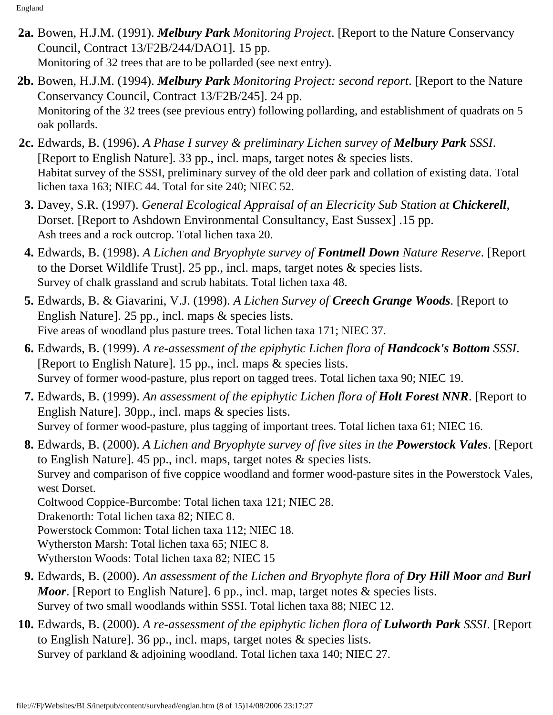- **2a.** Bowen, H.J.M. (1991). *Melbury Park Monitoring Project*. [Report to the Nature Conservancy Council, Contract 13/F2B/244/DAO1]. 15 pp. Monitoring of 32 trees that are to be pollarded (see next entry).
- **2b.** Bowen, H.J.M. (1994). *Melbury Park Monitoring Project: second report*. [Report to the Nature Conservancy Council, Contract 13/F2B/245]. 24 pp. Monitoring of the 32 trees (see previous entry) following pollarding, and establishment of quadrats on 5 oak pollards.
- **2c.** Edwards, B. (1996). *A Phase I survey & preliminary Lichen survey of Melbury Park SSSI*. [Report to English Nature]. 33 pp., incl. maps, target notes & species lists. Habitat survey of the SSSI, preliminary survey of the old deer park and collation of existing data. Total lichen taxa 163; NIEC 44. Total for site 240; NIEC 52.
- **3.** Davey, S.R. (1997). *General Ecological Appraisal of an Elecricity Sub Station at Chickerell*, Dorset. [Report to Ashdown Environmental Consultancy, East Sussex] .15 pp. Ash trees and a rock outcrop. Total lichen taxa 20.
- **4.** Edwards, B. (1998). *A Lichen and Bryophyte survey of Fontmell Down Nature Reserve*. [Report to the Dorset Wildlife Trust]. 25 pp., incl. maps, target notes & species lists. Survey of chalk grassland and scrub habitats. Total lichen taxa 48.
- **5.** Edwards, B. & Giavarini, V.J. (1998). *A Lichen Survey of Creech Grange Woods*. [Report to English Nature]. 25 pp., incl. maps & species lists. Five areas of woodland plus pasture trees. Total lichen taxa 171; NIEC 37.
- **6.** Edwards, B. (1999). *A re-assessment of the epiphytic Lichen flora of Handcock's Bottom SSSI*. [Report to English Nature]. 15 pp., incl. maps & species lists. Survey of former wood-pasture, plus report on tagged trees. Total lichen taxa 90; NIEC 19.
- **7.** Edwards, B. (1999). *An assessment of the epiphytic Lichen flora of Holt Forest NNR*. [Report to English Nature]. 30pp., incl. maps & species lists. Survey of former wood-pasture, plus tagging of important trees. Total lichen taxa 61; NIEC 16.
- **8.** Edwards, B. (2000). *A Lichen and Bryophyte survey of five sites in the Powerstock Vales*. [Report to English Nature]. 45 pp., incl. maps, target notes & species lists. Survey and comparison of five coppice woodland and former wood-pasture sites in the Powerstock Vales, west Dorset. Coltwood Coppice-Burcombe: Total lichen taxa 121; NIEC 28. Drakenorth: Total lichen taxa 82; NIEC 8. Powerstock Common: Total lichen taxa 112; NIEC 18. Wytherston Marsh: Total lichen taxa 65; NIEC 8. Wytherston Woods: Total lichen taxa 82; NIEC 15
- **9.** Edwards, B. (2000). *An assessment of the Lichen and Bryophyte flora of Dry Hill Moor and Burl Moor.* [Report to English Nature]. 6 pp., incl. map, target notes & species lists. Survey of two small woodlands within SSSI. Total lichen taxa 88; NIEC 12.
- **10.** Edwards, B. (2000). *A re-assessment of the epiphytic lichen flora of Lulworth Park SSSI*. [Report to English Nature]. 36 pp., incl. maps, target notes & species lists. Survey of parkland & adjoining woodland. Total lichen taxa 140; NIEC 27.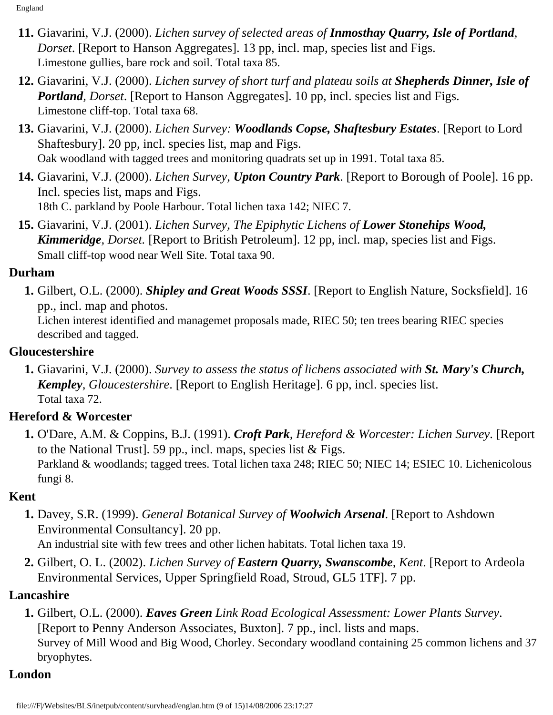- **11.** Giavarini, V.J. (2000). *Lichen survey of selected areas of Inmosthay Quarry, Isle of Portland, Dorset*. [Report to Hanson Aggregates]. 13 pp, incl. map, species list and Figs. Limestone gullies, bare rock and soil. Total taxa 85.
- **12.** Giavarini, V.J. (2000). *Lichen survey of short turf and plateau soils at Shepherds Dinner, Isle of Portland, Dorset*. [Report to Hanson Aggregates]. 10 pp, incl. species list and Figs. Limestone cliff-top. Total taxa 68.
- **13.** Giavarini, V.J. (2000). *Lichen Survey: Woodlands Copse, Shaftesbury Estates*. [Report to Lord Shaftesbury]. 20 pp, incl. species list, map and Figs. Oak woodland with tagged trees and monitoring quadrats set up in 1991. Total taxa 85.
- **14.** Giavarini, V.J. (2000). *Lichen Survey, Upton Country Park*. [Report to Borough of Poole]. 16 pp. Incl. species list, maps and Figs. 18th C. parkland by Poole Harbour. Total lichen taxa 142; NIEC 7.
- **15.** Giavarini, V.J. (2001). *Lichen Survey, The Epiphytic Lichens of Lower Stonehips Wood, Kimmeridge, Dorset.* [Report to British Petroleum]. 12 pp, incl. map, species list and Figs. Small cliff-top wood near Well Site. Total taxa 90.

## <span id="page-8-0"></span>**Durham**

 **1.** Gilbert, O.L. (2000). *Shipley and Great Woods SSSI*. [Report to English Nature, Socksfield]. 16 pp., incl. map and photos.

Lichen interest identified and managemet proposals made, RIEC 50; ten trees bearing RIEC species described and tagged.

## <span id="page-8-1"></span>**Gloucestershire**

 **1.** Giavarini, V.J. (2000). *Survey to assess the status of lichens associated with St. Mary's Church, Kempley, Gloucestershire*. [Report to English Heritage]. 6 pp, incl. species list. Total taxa 72.

# <span id="page-8-2"></span>**Hereford & Worcester**

 **1.** O'Dare, A.M. & Coppins, B.J. (1991). *Croft Park, Hereford & Worcester: Lichen Survey*. [Report to the National Trust]. 59 pp., incl. maps, species list & Figs. Parkland & woodlands; tagged trees. Total lichen taxa 248; RIEC 50; NIEC 14; ESIEC 10. Lichenicolous fungi 8.

# <span id="page-8-3"></span>**Kent**

- **1.** Davey, S.R. (1999). *General Botanical Survey of Woolwich Arsenal*. [Report to Ashdown Environmental Consultancy]. 20 pp. An industrial site with few trees and other lichen habitats. Total lichen taxa 19.
- **2.** Gilbert, O. L. (2002). *Lichen Survey of Eastern Quarry, Swanscombe, Kent*. [Report to Ardeola Environmental Services, Upper Springfield Road, Stroud, GL5 1TF]. 7 pp.

# <span id="page-8-4"></span>**Lancashire**

 **1.** Gilbert, O.L. (2000). *Eaves Green Link Road Ecological Assessment: Lower Plants Survey*. [Report to Penny Anderson Associates, Buxton]. 7 pp., incl. lists and maps. Survey of Mill Wood and Big Wood, Chorley. Secondary woodland containing 25 common lichens and 37 bryophytes.

## <span id="page-8-5"></span>**London**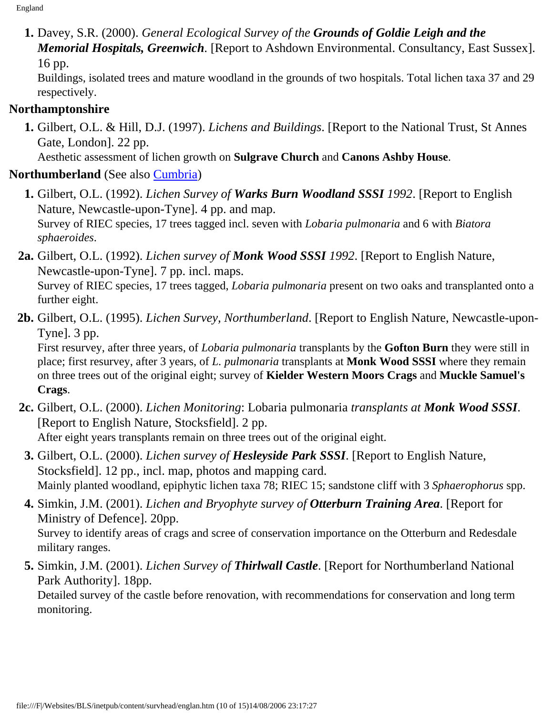**1.** Davey, S.R. (2000). *General Ecological Survey of the Grounds of Goldie Leigh and the Memorial Hospitals, Greenwich*. [Report to Ashdown Environmental. Consultancy, East Sussex]. 16 pp.

Buildings, isolated trees and mature woodland in the grounds of two hospitals. Total lichen taxa 37 and 29 respectively.

## <span id="page-9-0"></span>**Northamptonshire**

 **1.** Gilbert, O.L. & Hill, D.J. (1997). *Lichens and Buildings*. [Report to the National Trust, St Annes Gate, London]. 22 pp.

Aesthetic assessment of lichen growth on **Sulgrave Church** and **Canons Ashby House**.

## <span id="page-9-1"></span>**Northumberland** (See also [Cumbria\)](#page-1-0)

- **1.** Gilbert, O.L. (1992). *Lichen Survey of Warks Burn Woodland SSSI 1992*. [Report to English Nature, Newcastle-upon-Tyne]. 4 pp. and map. Survey of RIEC species, 17 trees tagged incl. seven with *Lobaria pulmonaria* and 6 with *Biatora sphaeroides*.
- **2a.** Gilbert, O.L. (1992). *Lichen survey of Monk Wood SSSI 1992*. [Report to English Nature, Newcastle-upon-Tyne]. 7 pp. incl. maps. Survey of RIEC species, 17 trees tagged, *Lobaria pulmonaria* present on two oaks and transplanted onto a further eight.
- **2b.** Gilbert, O.L. (1995). *Lichen Survey, Northumberland*. [Report to English Nature, Newcastle-upon-Tyne]. 3 pp.

First resurvey, after three years, of *Lobaria pulmonaria* transplants by the **Gofton Burn** they were still in place; first resurvey, after 3 years, of *L. pulmonaria* transplants at **Monk Wood SSSI** where they remain on three trees out of the original eight; survey of **Kielder Western Moors Crags** and **Muckle Samuel's Crags**.

- **2c.** Gilbert, O.L. (2000). *Lichen Monitoring*: Lobaria pulmonaria *transplants at Monk Wood SSSI*. [Report to English Nature, Stocksfield]. 2 pp. After eight years transplants remain on three trees out of the original eight.
- **3.** Gilbert, O.L. (2000). *Lichen survey of Hesleyside Park SSSI*. [Report to English Nature, Stocksfield]. 12 pp., incl. map, photos and mapping card. Mainly planted woodland, epiphytic lichen taxa 78; RIEC 15; sandstone cliff with 3 *Sphaerophorus* spp.
- **4.** Simkin, J.M. (2001). *Lichen and Bryophyte survey of Otterburn Training Area*. [Report for Ministry of Defence]. 20pp. Survey to identify areas of crags and scree of conservation importance on the Otterburn and Redesdale military ranges.
- **5.** Simkin, J.M. (2001). *Lichen Survey of Thirlwall Castle*. [Report for Northumberland National Park Authority]. 18pp.

Detailed survey of the castle before renovation, with recommendations for conservation and long term monitoring.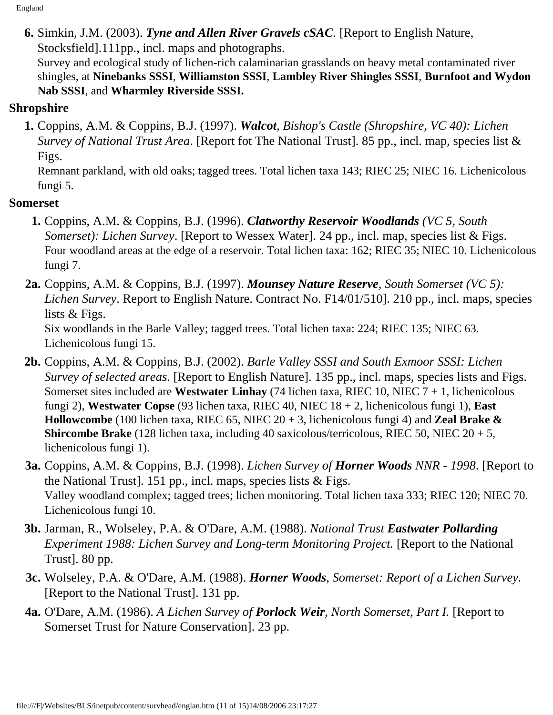**6.** Simkin, J.M. (2003). *Tyne and Allen River Gravels cSAC.* [Report to English Nature, Stocksfield].111pp., incl. maps and photographs. Survey and ecological study of lichen-rich calaminarian grasslands on heavy metal contaminated river shingles, at **Ninebanks SSSI**, **Williamston SSSI**, **Lambley River Shingles SSSI**, **Burnfoot and Wydon Nab SSSI**, and **Wharmley Riverside SSSI.**

### <span id="page-10-0"></span>**Shropshire**

 **1.** Coppins, A.M. & Coppins, B.J. (1997). *Walcot, Bishop's Castle (Shropshire, VC 40): Lichen Survey of National Trust Area*. [Report fot The National Trust]. 85 pp., incl. map, species list & Figs.

Remnant parkland, with old oaks; tagged trees. Total lichen taxa 143; RIEC 25; NIEC 16. Lichenicolous fungi 5.

## <span id="page-10-1"></span>**Somerset**

- **1.** Coppins, A.M. & Coppins, B.J. (1996). *Clatworthy Reservoir Woodlands (VC 5, South Somerset*): *Lichen Survey*. [Report to Wessex Water]. 24 pp., incl. map, species list & Figs. Four woodland areas at the edge of a reservoir. Total lichen taxa: 162; RIEC 35; NIEC 10. Lichenicolous fungi 7.
- **2a.** Coppins, A.M. & Coppins, B.J. (1997). *Mounsey Nature Reserve, South Somerset (VC 5): Lichen Survey*. Report to English Nature. Contract No. F14/01/510]. 210 pp., incl. maps, species lists & Figs. Six woodlands in the Barle Valley; tagged trees. Total lichen taxa: 224; RIEC 135; NIEC 63. Lichenicolous fungi 15.
- **2b.** Coppins, A.M. & Coppins, B.J. (2002). *Barle Valley SSSI and South Exmoor SSSI: Lichen Survey of selected areas*. [Report to English Nature]. 135 pp., incl. maps, species lists and Figs. Somerset sites included are **Westwater Linhay** (74 lichen taxa, RIEC 10, NIEC 7 + 1, lichenicolous fungi 2), **Westwater Copse** (93 lichen taxa, RIEC 40, NIEC 18 + 2, lichenicolous fungi 1), **East Hollowcombe** (100 lichen taxa, RIEC 65, NIEC 20 + 3, lichenicolous fungi 4) and **Zeal Brake & Shircombe Brake** (128 lichen taxa, including 40 saxicolous/terricolous, RIEC 50, NIEC 20 + 5, lichenicolous fungi 1).
- **3a.** Coppins, A.M. & Coppins, B.J. (1998). *Lichen Survey of Horner Woods NNR 1998*. [Report to the National Trust]. 151 pp., incl. maps, species lists & Figs. Valley woodland complex; tagged trees; lichen monitoring. Total lichen taxa 333; RIEC 120; NIEC 70. Lichenicolous fungi 10.
- **3b.** Jarman, R., Wolseley, P.A. & O'Dare, A.M. (1988). *National Trust Eastwater Pollarding Experiment 1988: Lichen Survey and Long-term Monitoring Project.* [Report to the National Trust]. 80 pp.
- **3c.** Wolseley, P.A. & O'Dare, A.M. (1988). *Horner Woods, Somerset: Report of a Lichen Survey.* [Report to the National Trust]. 131 pp.
- **4a.** O'Dare, A.M. (1986). *A Lichen Survey of Porlock Weir, North Somerset, Part I.* [Report to Somerset Trust for Nature Conservation]. 23 pp.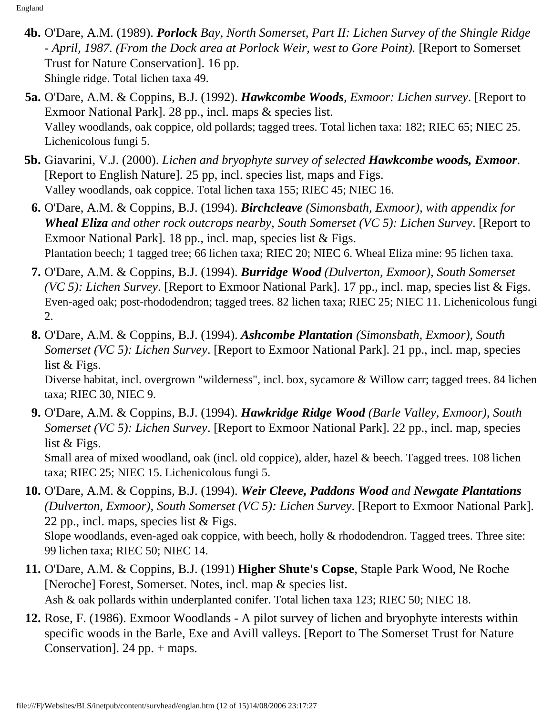- **4b.** O'Dare, A.M. (1989). *Porlock Bay, North Somerset, Part II: Lichen Survey of the Shingle Ridge - April, 1987. (From the Dock area at Porlock Weir, west to Gore Point).* [Report to Somerset Trust for Nature Conservation]. 16 pp. Shingle ridge. Total lichen taxa 49.
- **5a.** O'Dare, A.M. & Coppins, B.J. (1992). *Hawkcombe Woods, Exmoor: Lichen survey*. [Report to Exmoor National Park]. 28 pp., incl. maps & species list. Valley woodlands, oak coppice, old pollards; tagged trees. Total lichen taxa: 182; RIEC 65; NIEC 25. Lichenicolous fungi 5.
- **5b.** Giavarini, V.J. (2000). *Lichen and bryophyte survey of selected Hawkcombe woods, Exmoor*. [Report to English Nature]. 25 pp, incl. species list, maps and Figs. Valley woodlands, oak coppice. Total lichen taxa 155; RIEC 45; NIEC 16.
	- **6.** O'Dare, A.M. & Coppins, B.J. (1994). *Birchcleave (Simonsbath, Exmoor), with appendix for Wheal Eliza and other rock outcrops nearby, South Somerset (VC 5): Lichen Survey*. [Report to Exmoor National Park]. 18 pp., incl. map, species list & Figs. Plantation beech; 1 tagged tree; 66 lichen taxa; RIEC 20; NIEC 6. Wheal Eliza mine: 95 lichen taxa.
	- **7.** O'Dare, A.M. & Coppins, B.J. (1994). *Burridge Wood (Dulverton, Exmoor), South Somerset (VC 5): Lichen Survey*. [Report to Exmoor National Park]. 17 pp., incl. map, species list & Figs. Even-aged oak; post-rhododendron; tagged trees. 82 lichen taxa; RIEC 25; NIEC 11. Lichenicolous fungi 2.
	- **8.** O'Dare, A.M. & Coppins, B.J. (1994). *Ashcombe Plantation (Simonsbath, Exmoor), South Somerset (VC 5): Lichen Survey*. [Report to Exmoor National Park]. 21 pp., incl. map, species list & Figs.

Diverse habitat, incl. overgrown "wilderness", incl. box, sycamore & Willow carr; tagged trees. 84 lichen taxa; RIEC 30, NIEC 9.

**9.** O'Dare, A.M. & Coppins, B.J. (1994). *Hawkridge Ridge Wood (Barle Valley, Exmoor), South Somerset (VC 5): Lichen Survey*. [Report to Exmoor National Park]. 22 pp., incl. map, species list & Figs.

Small area of mixed woodland, oak (incl. old coppice), alder, hazel & beech. Tagged trees. 108 lichen taxa; RIEC 25; NIEC 15. Lichenicolous fungi 5.

**10.** O'Dare, A.M. & Coppins, B.J. (1994). *Weir Cleeve, Paddons Wood and Newgate Plantations (Dulverton, Exmoor), South Somerset (VC 5): Lichen Survey*. [Report to Exmoor National Park]. 22 pp., incl. maps, species list & Figs. Slope woodlands, even-aged oak coppice, with beech, holly & rhododendron. Tagged trees. Three site:

99 lichen taxa; RIEC 50; NIEC 14.

- **11.** O'Dare, A.M. & Coppins, B.J. (1991) **Higher Shute's Copse**, Staple Park Wood, Ne Roche [Neroche] Forest, Somerset. Notes, incl. map & species list. Ash & oak pollards within underplanted conifer. Total lichen taxa 123; RIEC 50; NIEC 18.
- **12.** Rose, F. (1986). Exmoor Woodlands A pilot survey of lichen and bryophyte interests within specific woods in the Barle, Exe and Avill valleys. [Report to The Somerset Trust for Nature Conservation]. 24 pp. + maps.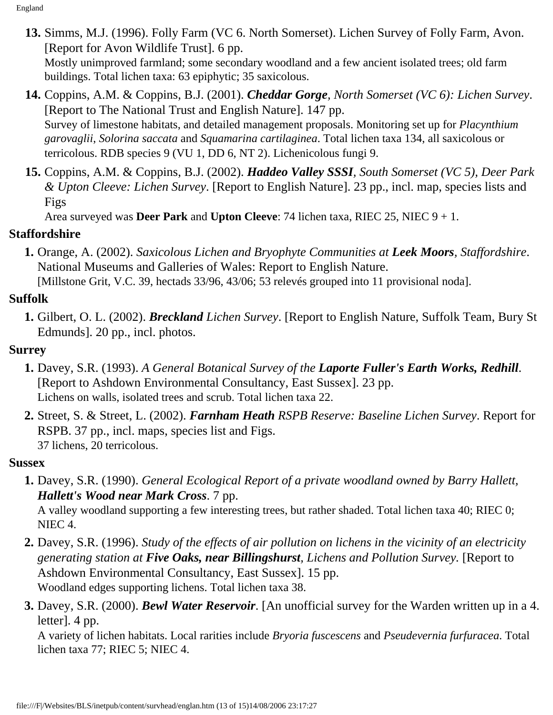**13.** Simms, M.J. (1996). Folly Farm (VC 6. North Somerset). Lichen Survey of Folly Farm, Avon. [Report for Avon Wildlife Trust]. 6 pp.

Mostly unimproved farmland; some secondary woodland and a few ancient isolated trees; old farm buildings. Total lichen taxa: 63 epiphytic; 35 saxicolous.

- **14.** Coppins, A.M. & Coppins, B.J. (2001). *Cheddar Gorge, North Somerset (VC 6): Lichen Survey*. [Report to The National Trust and English Nature]. 147 pp. Survey of limestone habitats, and detailed management proposals. Monitoring set up for *Placynthium garovaglii*, *Solorina saccata* and *Squamarina cartilaginea*. Total lichen taxa 134, all saxicolous or terricolous. RDB species 9 (VU 1, DD 6, NT 2). Lichenicolous fungi 9.
- **15.** Coppins, A.M. & Coppins, B.J. (2002). *Haddeo Valley SSSI, South Somerset (VC 5), Deer Park & Upton Cleeve: Lichen Survey*. [Report to English Nature]. 23 pp., incl. map, species lists and Figs

Area surveyed was **Deer Park** and **Upton Cleeve**: 74 lichen taxa, RIEC 25, NIEC 9 + 1.

## <span id="page-12-0"></span>**Staffordshire**

 **1.** Orange, A. (2002). *Saxicolous Lichen and Bryophyte Communities at Leek Moors, Staffordshire*. National Museums and Galleries of Wales: Report to English Nature.

[Millstone Grit, V.C. 39, hectads 33/96, 43/06; 53 relevés grouped into 11 provisional noda].

## **Suffolk**

 **1.** Gilbert, O. L. (2002). *Breckland Lichen Survey*. [Report to English Nature, Suffolk Team, Bury St Edmunds]. 20 pp., incl. photos.

## <span id="page-12-1"></span>**Surrey**

- **1.** Davey, S.R. (1993). *A General Botanical Survey of the Laporte Fuller's Earth Works, Redhill*. [Report to Ashdown Environmental Consultancy, East Sussex]. 23 pp. Lichens on walls, isolated trees and scrub. Total lichen taxa 22.
- **2.** Street, S. & Street, L. (2002). *Farnham Heath RSPB Reserve: Baseline Lichen Survey*. Report for RSPB. 37 pp., incl. maps, species list and Figs. 37 lichens, 20 terricolous.

#### <span id="page-12-2"></span>**Sussex**

- **1.** Davey, S.R. (1990). *General Ecological Report of a private woodland owned by Barry Hallett, Hallett's Wood near Mark Cross*. 7 pp. A valley woodland supporting a few interesting trees, but rather shaded. Total lichen taxa 40; RIEC 0; NIEC 4.
- **2.** Davey, S.R. (1996). *Study of the effects of air pollution on lichens in the vicinity of an electricity generating station at Five Oaks, near Billingshurst, Lichens and Pollution Survey.* [Report to Ashdown Environmental Consultancy, East Sussex]. 15 pp. Woodland edges supporting lichens. Total lichen taxa 38.
- **3.** Davey, S.R. (2000). *Bewl Water Reservoir*. [An unofficial survey for the Warden written up in a 4. letter]. 4 pp.

A variety of lichen habitats. Local rarities include *Bryoria fuscescens* and *Pseudevernia furfuracea*. Total lichen taxa 77; RIEC 5; NIEC 4.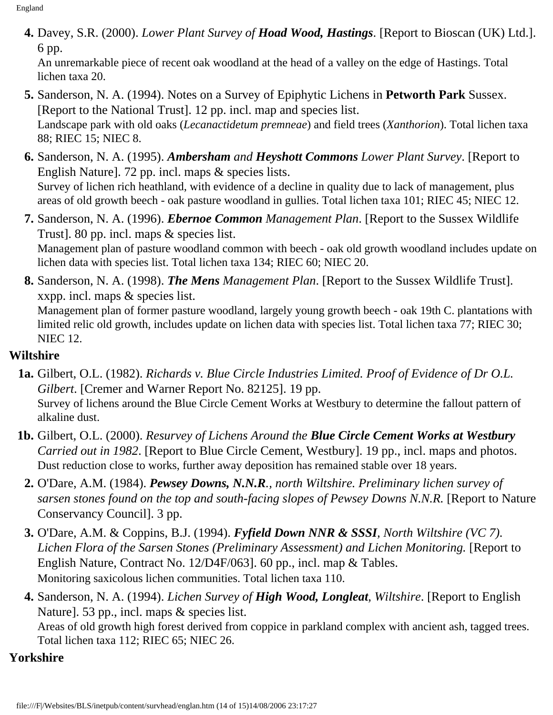**4.** Davey, S.R. (2000). *Lower Plant Survey of Hoad Wood, Hastings*. [Report to Bioscan (UK) Ltd.]. 6 pp.

An unremarkable piece of recent oak woodland at the head of a valley on the edge of Hastings. Total lichen taxa 20.

- **5.** Sanderson, N. A. (1994). Notes on a Survey of Epiphytic Lichens in **Petworth Park** Sussex. [Report to the National Trust]. 12 pp. incl. map and species list. Landscape park with old oaks (*Lecanactidetum premneae*) and field trees (*Xanthorion*). Total lichen taxa 88; RIEC 15; NIEC 8.
- **6.** Sanderson, N. A. (1995). *Ambersham and Heyshott Commons Lower Plant Survey*. [Report to English Nature]. 72 pp. incl. maps & species lists. Survey of lichen rich heathland, with evidence of a decline in quality due to lack of management, plus areas of old growth beech - oak pasture woodland in gullies. Total lichen taxa 101; RIEC 45; NIEC 12.
- **7.** Sanderson, N. A. (1996). *Ebernoe Common Management Plan*. [Report to the Sussex Wildlife Trust]. 80 pp. incl. maps & species list.

Management plan of pasture woodland common with beech - oak old growth woodland includes update on lichen data with species list. Total lichen taxa 134; RIEC 60; NIEC 20.

**8.** Sanderson, N. A. (1998). *The Mens Management Plan*. [Report to the Sussex Wildlife Trust]. xxpp. incl. maps & species list.

Management plan of former pasture woodland, largely young growth beech - oak 19th C. plantations with limited relic old growth, includes update on lichen data with species list. Total lichen taxa 77; RIEC 30; NIEC 12.

### <span id="page-13-0"></span>**Wiltshire**

- **1a.** Gilbert, O.L. (1982). *Richards v. Blue Circle Industries Limited. Proof of Evidence of Dr O.L. Gilbert*. [Cremer and Warner Report No. 82125]. 19 pp. Survey of lichens around the Blue Circle Cement Works at Westbury to determine the fallout pattern of alkaline dust.
- **1b.** Gilbert, O.L. (2000). *Resurvey of Lichens Around the Blue Circle Cement Works at Westbury Carried out in 1982*. [Report to Blue Circle Cement, Westbury]. 19 pp., incl. maps and photos. Dust reduction close to works, further away deposition has remained stable over 18 years.
	- **2.** O'Dare, A.M. (1984). *Pewsey Downs, N.N.R., north Wiltshire. Preliminary lichen survey of sarsen stones found on the top and south-facing slopes of Pewsey Downs N.N.R.* [Report to Nature Conservancy Council]. 3 pp.
	- **3.** O'Dare, A.M. & Coppins, B.J. (1994). *Fyfield Down NNR & SSSI, North Wiltshire (VC 7). Lichen Flora of the Sarsen Stones (Preliminary Assessment) and Lichen Monitoring.* [Report to English Nature, Contract No. 12/D4F/063]. 60 pp., incl. map & Tables. Monitoring saxicolous lichen communities. Total lichen taxa 110.
	- **4.** Sanderson, N. A. (1994). *Lichen Survey of High Wood, Longleat, Wiltshire*. [Report to English Nature]. 53 pp., incl. maps & species list. Areas of old growth high forest derived from coppice in parkland complex with ancient ash, tagged trees. Total lichen taxa 112; RIEC 65; NIEC 26.
- <span id="page-13-1"></span>**Yorkshire**